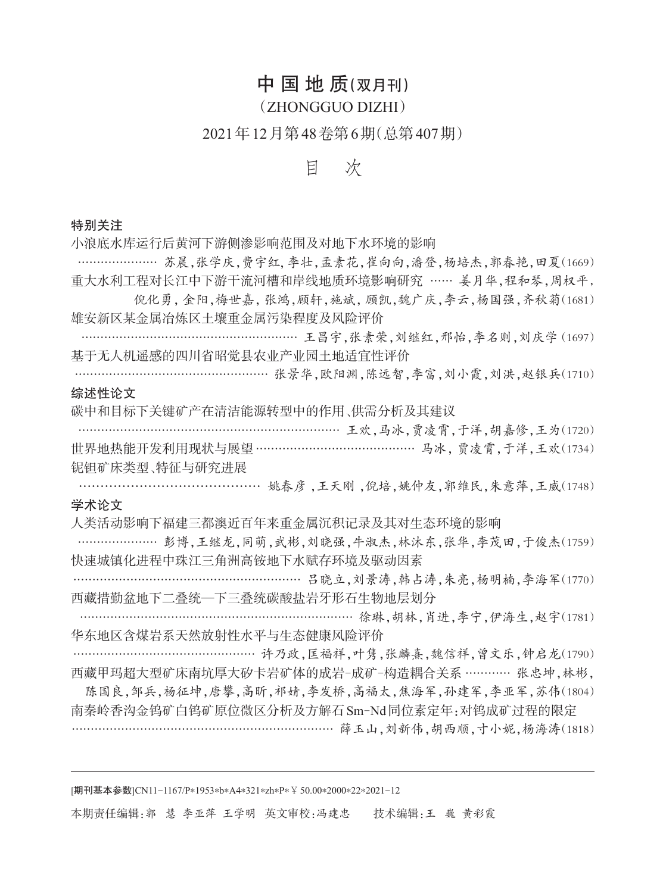# 中国地质(双月刊)

### (ZHONGGUO DIZHI)

# 2021年12月第48卷第6期(总第407期)

## 目 次

### 特别关注

小浪底水库运行后黄河下游侧渗影响范围及对地下水环境的影响

………………… 苏晨,张学庆,费宇红,李壮,孟素花,崔向向,潘登,杨培杰,郭春艳,田夏(1669) 重大水利工程对长江中下游干流河槽和岸线地质环境影响研究 …… 姜月华,程和琴,周权平,

倪化勇,金阳,梅世嘉,张鸿,顾轩,施斌,顾凯,魏广庆,李云,杨国强,齐秋菊(1681) 雄安新区某金属冶炼区土壤重金属污染程度及风险评价

………………………………………………… 王昌宇,张素荣,刘继红,邢怡,李名则,刘庆学(1697) 基于无人机遥感的四川省昭觉县农业产业园土地适宜性评价

…………………………………………… 张景华,欧阳渊,陈远智,李富,刘小霞,刘洪,赵银兵(1710) 综述性论文

碳中和目标下关键矿产在清洁能源转型中的作用、供需分析及其建议

………………………………………………………… 王欢,马冰,贾凌霄,于洋,胡嘉修,王为(1720) 世界地热能开发利用现状与展望…………………………………… 马冰,贾凌霄,于洋,王欢(1734) 铌钽矿床类型、特征与研究进展

…………………………………… 姚春彦 ,王天刚 ,倪培,姚仲友,郭维民,朱意萍,王威(1748) 学术论文

人类活动影响下福建三都澳近百年来重金属沉积记录及其对生态环境的影响

………………… 彭博,王继龙,同萌,武彬,刘晓强,牛淑杰,林沐东,张华,李茂田,于俊杰(1759) 快速城镇化进程中珠江三角洲高铵地下水赋存环境及驱动因素

…………………………………………………… 吕晓立,刘景涛,韩占涛,朱亮,杨明楠,李海军(1770) 西藏措勤盆地下二叠统—下三叠统碳酸盐岩牙形石生物地层划分

……………………………………………………………… 徐琳,胡林,肖进,李宁,伊海生,赵宇(1781) 华东地区含煤岩系天然放射性水平与生态健康风险评价

………………………………………… 许乃政,匡福祥,叶隽,张麟熹,魏信祥,曾文乐,钟启龙(1790) 西藏甲玛超大型矿床南坑厚大矽卡岩矿体的成岩-成矿-构造耦合关系 ………… 张忠坤,林彬,

陈国良,邹兵,杨征坤,唐攀,高昕,祁婧,李发桥,高福太,焦海军,孙建军,李亚军,苏伟(1804) 南秦岭香沟金钨矿白钨矿原位微区分析及方解石Sm-Nd同位素定年:对钨成矿过程的限定 …………………………………………………………… 薛玉山,刘新伟,胡西顺,寸小妮,杨海涛(1818)

[期刊基本参数]CN11-1167/P∗1953∗b∗A4∗321∗zh∗P∗¥50.00∗2000∗22∗2021-12

本期责任编辑:郭 慧 李亚萍 王学明 英文审校:冯建忠 技术编辑:王 巍 黄彩霞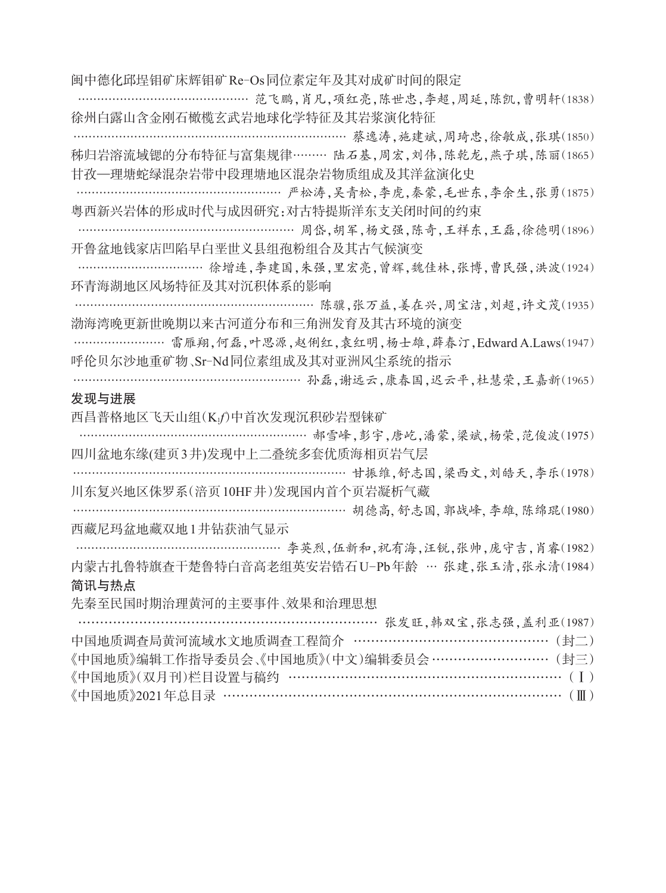闽中德化邱埕钼矿床辉钼矿Re-Os同位素定年及其对成矿时间的限定

………………………………………… 范飞鹏,肖凡,项红亮,陈世忠,李超,周延,陈凯,曹明轩(1838) 徐州白露山含金刚石橄榄玄武岩地球化学特征及其岩浆演化特征

…………………………………………………………… 蔡逸涛,施建斌,周琦忠,徐敏成,张琪(1850) 秭归岩溶流域锶的分布特征与富集规律……… 陆石基,周宏,刘伟,陈乾龙,燕子琪,陈丽(1865) 甘孜—理塘蛇绿混杂岩带中段理塘地区混杂岩物质组成及其洋盆演化史

……………………………………………………… 严松涛,吴青松,李虎,秦蒙,毛世东,李余生,张勇(1875) 粤西新兴岩体的形成时代与成因研究:对古特提斯洋东支关闭时间的约束

…………………………………………………… 周岱,胡军,杨文强,陈奇,王祥东,王磊,徐德明(1896) 开鲁盆地钱家店凹陷早白垩世义县组孢粉组合及其古气候演变

…………………………… 徐增连,李建国,朱强,里宏亮,曾辉,魏佳林,张博,曹民强,洪波(1924) 环青海湖地区风场特征及其对沉积体系的影响

……………………………………………………… 陈骥,张万益,姜在兴,周宝洁,刘超,许文茂(1935) 渤海湾晚更新世晚期以来古河道分布和三角洲发育及其古环境的演变

……………………… 雷雁翔,何磊,叶思源,赵俐红,袁红明,杨士雄,薜春汀,Edward A Laws(1947) 呼伦贝尔沙地重矿物、Sr-Nd同位素组成及其对亚洲风尘系统的指示

……………………………………………………… 孙磊,谢远云,康春国,迟云平,杜慧荣,王嘉新(1965)

### 发现与进展

西昌普格地区飞天山组(K1*f*)中首次发现沉积砂岩型铼矿

………………………………………………………… 郝雪峰,彭宇,唐屹,潘蒙,梁斌,杨荣,范俊波(1975) 四川盆地东缘(建页3井)发现中上二叠统多套优质海相页岩气层

…………………………………………………………………… 甘振维,舒志国,梁西文,刘皓天,李乐(1978) 川东复兴地区侏罗系(涪页10HF井)发现国内首个页岩凝析气藏

……………………………………………………………… 胡德高, 舒志国, 郭战峰, 李雄, 陈绵琨(1980) 西藏尼玛盆地藏双地1井钻获油气显示

………………………………………………… 李英烈,伍新和,祝有海,汪锐,张帅,庞守吉,肖睿(1982) 内蒙古扎鲁特旗查干楚鲁特白音高老组英安岩锆石U-Pb年龄 … 张建,张玉清,张永清(1984) 简讯与热点

先秦至民国时期治理黄河的主要事件、效果和治理思想

| ……………………………………………………………… 张发旺,韩双宝,张志强,盖利亚(1987)  |
|-------------------------------------------------|
| 中国地质调查局黄河流域水文地质调查工程简介 ……………………………………… (封二)      |
| 《中国地质》编辑工作指导委员会、《中国地质》(中文)编辑委员会 ………………………… (封三) |
|                                                 |
|                                                 |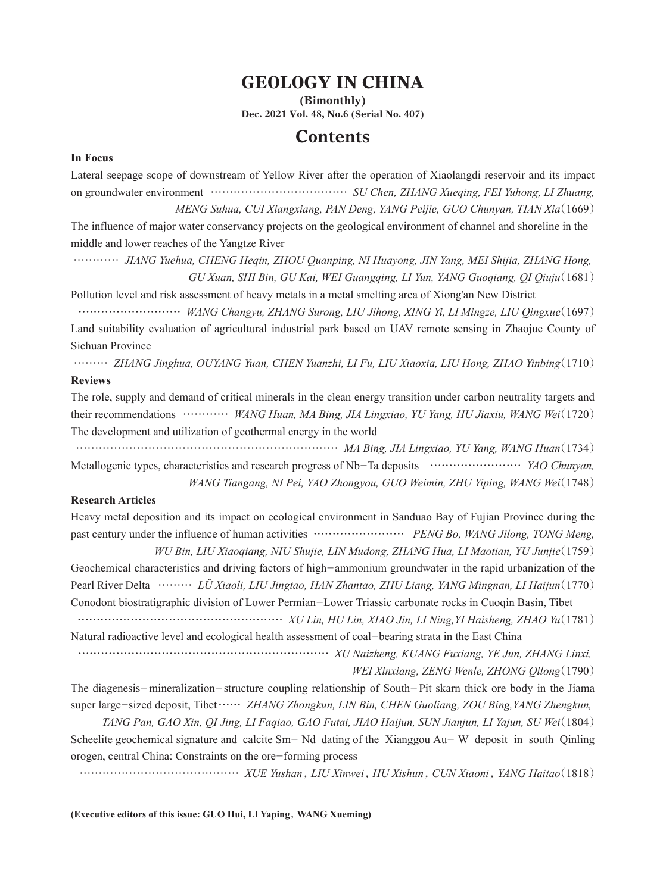# GEOLOGY IN CHINA

(Bimonthly) Dec. 2021 Vol. 48, No.6 (Serial No. 407)

### **Contents**

#### **In Focus**

Lateral seepage scope of downstream of Yellow River after the operation of Xiaolangdi reservoir and its impact on groundwater environment ……………………………… *SU Chen, ZHANG Xueqing, FEI Yuhong, LI Zhuang, MENG Suhua, CUI Xiangxiang, PAN Deng, YANG Peijie, GUO Chunyan, TIAN Xia*(1669)

The influence of major water conservancy projects on the geological environment of channel and shoreline in the middle and lower reaches of the Yangtze River

………… *JIANG Yuehua, CHENG Heqin, ZHOU Quanping, NI Huayong, JIN Yang, MEI Shijia, ZHANG Hong, GU Xuan, SHI Bin, GU Kai, WEI Guangqing, LI Yun, YANG Guoqiang, QI Qiuju*(1681)

Pollution level and risk assessment of heavy metals in a metal smelting area of Xiong'an New District

……………………… *WANG Changyu, ZHANG Surong, LIU Jihong, XING Yi, LI Mingze, LIU Qingxue*(1697) Land suitability evaluation of agricultural industrial park based on UAV remote sensing in Zhaojue County of Sichuan Province

……… *ZHANG Jinghua, OUYANG Yuan, CHEN Yuanzhi, LI Fu, LIU Xiaoxia, LIU Hong, ZHAO Yinbing*(1710) **Reviews**

The role, supply and demand of critical minerals in the clean energy transition under carbon neutrality targets and their recommendations ………… *WANG Huan, MA Bing, JIA Lingxiao, YU Yang, HU Jiaxiu, WANG Wei*(1720) The development and utilization of geothermal energy in the world

…………………………………………………………… *MA Bing, JIA Lingxiao, YU Yang, WANG Huan*(1734) Metallogenic types, characteristics and research progress of Nb-Ta deposits …………………… *YAO Chunyan, WANG Tiangang, NI Pei, YAO Zhongyou, GUO Weimin, ZHU Yiping, WANG Wei*(1748)

#### **Research Articles**

Heavy metal deposition and its impact on ecological environment in Sanduao Bay of Fujian Province during the past century under the influence of human activities …………………… *PENG Bo, WANG Jilong, TONG Meng, WU Bin, LIU Xiaoqiang, NIU Shujie, LIN Mudong, ZHANG Hua, LI Maotian, YU Junjie*(1759)

Geochemical characteristics and driving factors of high-ammonium groundwater in the rapid urbanization of the Pearl River Delta ……… *LÜ Xiaoli, LIU Jingtao, HAN Zhantao, ZHU Liang, YANG Mingnan, LI Haijun*(1770) Conodont biostratigraphic division of Lower Permian-Lower Triassic carbonate rocks in Cuoqin Basin, Tibet ……………………………………………… *XU Lin, HU Lin, XIAO Jin, LI Ning,YI Haisheng, ZHAO Yu*(1781)

Natural radioactive level and ecological health assessment of coal-bearing strata in the East China

………………………………………………………… *XU Naizheng, KUANG Fuxiang, YE Jun, ZHANG Linxi, WEI Xinxiang, ZENG Wenle, ZHONG Qilong*(1790)

The diagenesis-mineralization-structure coupling relationship of South-Pit skarn thick ore body in the Jiama super large-sized deposit, Tibet…… *ZHANG Zhongkun, LIN Bin, CHEN Guoliang, ZOU Bing,YANG Zhengkun, TANG Pan, GAO Xin, QI Jing, LI Faqiao, GAO Futai, JIAO Haijun, SUN Jianjun, LI Yajun, SU Wei*(1804)

Scheelite geochemical signature and calcite Sm- Nd dating of the Xianggou Au- W deposit in south Qinling orogen, central China: Constraints on the ore-forming process

…………………………………… *XUE Yushan*,*LIU Xinwei*,*HU Xishun*,*CUN Xiaoni*,*YANG Haitao*(1818)